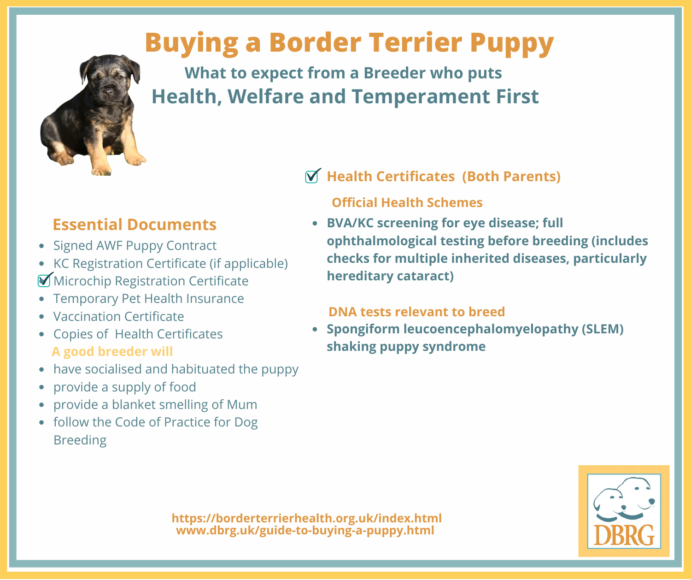# **Buying a Border Terrier Puppy**



**What to expect from a Breeder who puts Health, Welfare and Temperament First**

# **Essential Documents**

- Signed AWF Puppy Contract
- KC Registration Certificate (if applicable) **Microchip Registration Certificate**
- Temporary Pet Health Insurance
- Vaccination Certificate
- Copies of Health Certificates **A good breeder will**
- have socialised and habituated the puppy
- provide a supply of food
- provide a blanket smelling of Mum
- follow the Code of Practice for Dog Breeding

## **Health Certificates (Both Parents)**

### **Official Health Schemes**

**BVA/KC screening for eye disease; full ophthalmological testing before breeding (includes checks for multiple inherited diseases, particularly hereditary cataract)**

## **DNA tests relevant to breed**

**Spongiform leucoencephalomyelopathy (SLEM) shaking puppy syndrome**



**https://borderterrierhealth.org.uk/index.html www.dbrg.uk/guide-to-buying-a-puppy.html**